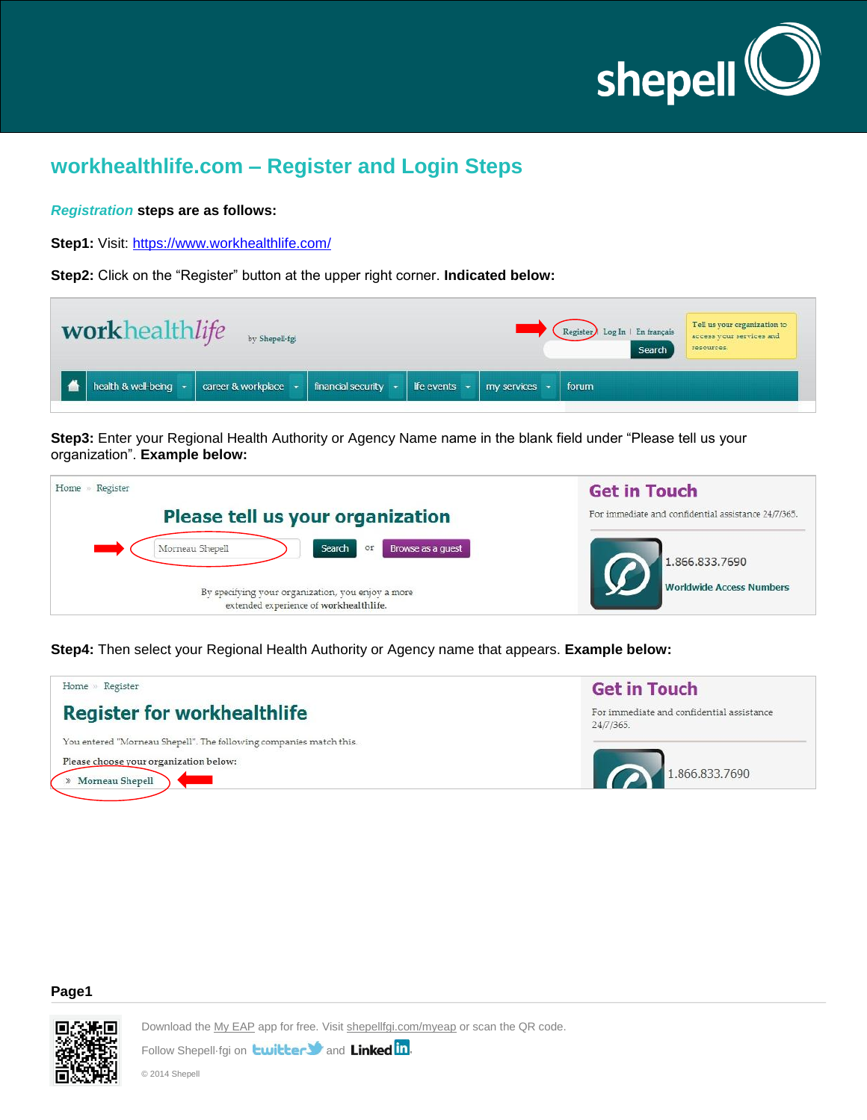

# **workhealthlife.com – Register and Login Steps**

#### *Registration* **steps are as follows:**

Step1: Visit:<https://www.workhealthlife.com/>

**Step2:** Click on the "Register" button at the upper right corner. **Indicated below:**

| workhealthlife by Shepell-tgi     |                                                                                                                       | Register Log In   En français<br>Search | Tell us your organization to<br>access your services and<br>resources. |
|-----------------------------------|-----------------------------------------------------------------------------------------------------------------------|-----------------------------------------|------------------------------------------------------------------------|
| health & well-being $\rightarrow$ | career & workplace $\rightarrow$ financial security $\rightarrow$ life events $\rightarrow$ my services $\rightarrow$ | forum                                   |                                                                        |

**Step3:** Enter your Regional Health Authority or Agency Name name in the blank field under "Please tell us your organization". **Example below:**

| Register<br>Home                                                                            | <b>Get in Touch</b>                                 |
|---------------------------------------------------------------------------------------------|-----------------------------------------------------|
| Please tell us your organization                                                            | For immediate and confidential assistance 24/7/365. |
| Search<br>Morneau Shepell<br>Browse as a quest<br>or                                        | 1,866,833,7690                                      |
| By specifying your organization, you enjoy a more<br>extended experience of workhealthlife. | <b>Worldwide Access Numbers</b>                     |

**Step4:** Then select your Regional Health Authority or Agency name that appears. **Example below:**



#### **Page1**

Г

Download the My EAP app for free. Visit shepellfgi.com/myeap or scan the QR code.

Follow Shepell-fgi on **twitter St** and Linked in.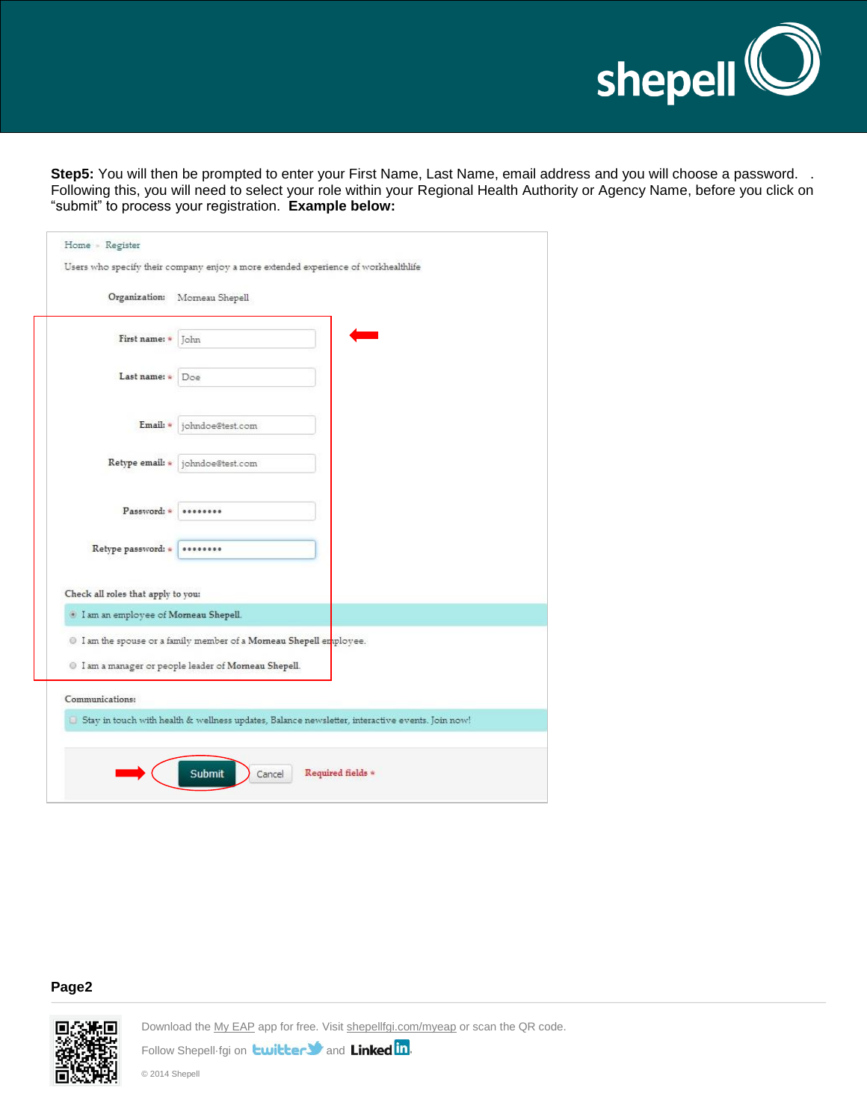

**Step5:** You will then be prompted to enter your First Name, Last Name, email address and you will choose a password. . Following this, you will need to select your role within your Regional Health Authority or Agency Name, before you click on "submit" to process your registration. **Example below:**

| Organization:                                     | Momeau Shepell                                                       |                                                                                                 |
|---------------------------------------------------|----------------------------------------------------------------------|-------------------------------------------------------------------------------------------------|
| First name: *                                     | John                                                                 |                                                                                                 |
| Last name: *                                      | Doe                                                                  |                                                                                                 |
| Email: *                                          | johndoe@test.com                                                     |                                                                                                 |
|                                                   | Retype email: * johndoe@test.com                                     |                                                                                                 |
| Password: *                                       |                                                                      |                                                                                                 |
| Retype password: *                                |                                                                      |                                                                                                 |
| Check all roles that apply to you:                |                                                                      |                                                                                                 |
| <sup>1</sup> I am an employee of Morneau Shepell. |                                                                      |                                                                                                 |
|                                                   | 10 I am the spouse or a family member of a Morneau Shepell employee. |                                                                                                 |
|                                                   | 10 I am a manager or people leader of Morneau Shepell.               |                                                                                                 |
| Communications:                                   |                                                                      |                                                                                                 |
|                                                   |                                                                      | Stay in touch with health & wellness updates, Balance newsletter, interactive events. Join now! |

## **Page2**

П

Download the My EAP app for free. Visit shepellfgi.com/myeap or scan the QR code.

Follow Shepell-fgi on **twitter t** and **Linked** in.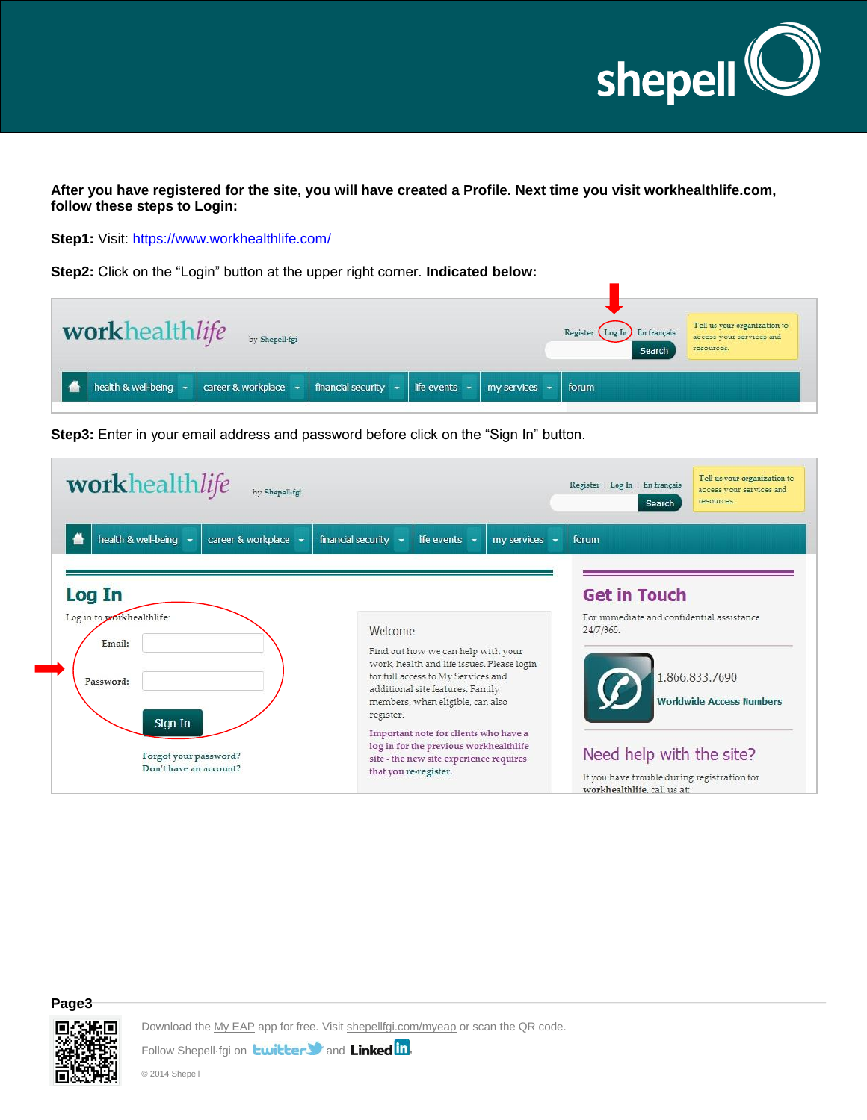

**After you have registered for the site, you will have created a Profile. Next time you visit workhealthlife.com, follow these steps to Login:**

**Step1:** Visit:<https://www.workhealthlife.com/>

**Step2:** Click on the "Login" button at the upper right corner. **Indicated below:**

| workhealthlife by Shepell-tgi                |                      |                                                                       |  | Register (Log In) En français<br>Search | Tell us your organization to<br>access your services and<br>resources. |
|----------------------------------------------|----------------------|-----------------------------------------------------------------------|--|-----------------------------------------|------------------------------------------------------------------------|
| health & well-being $\overline{\phantom{a}}$ | career & workplace - | financial security $\cdot$   Ife events $\cdot$   my services $\cdot$ |  | forum                                   |                                                                        |



**Step3:** Enter in your email address and password before click on the "Sign In" button.

## **Page3**

Download the My EAP app for free. Visit shepellfgi.com/myeap or scan the QR code.

Follow Shepell-fgi on **twitter St** and Linked in